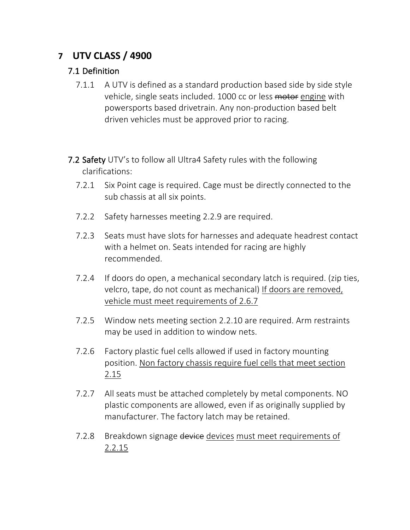# **7 UTV CLASS / 4900**

### 7.1 Definition

- 7.1.1 A UTV is defined as a standard production based side by side style vehicle, single seats included. 1000 cc or less motor engine with powersports based drivetrain. Any non-production based belt driven vehicles must be approved prior to racing.
- 7.2 Safety UTV's to follow all Ultra4 Safety rules with the following clarifications:
	- 7.2.1 Six Point cage is required. Cage must be directly connected to the sub chassis at all six points.
	- 7.2.2 Safety harnesses meeting 2.2.9 are required.
	- 7.2.3 Seats must have slots for harnesses and adequate headrest contact with a helmet on. Seats intended for racing are highly recommended.
	- 7.2.4 If doors do open, a mechanical secondary latch is required. (zip ties, velcro, tape, do not count as mechanical) If doors are removed, vehicle must meet requirements of 2.6.7
	- 7.2.5 Window nets meeting section 2.2.10 are required. Arm restraints may be used in addition to window nets.
	- 7.2.6 Factory plastic fuel cells allowed if used in factory mounting position. Non factory chassis require fuel cells that meet section 2.15
	- 7.2.7 All seats must be attached completely by metal components. NO plastic components are allowed, even if as originally supplied by manufacturer. The factory latch may be retained.
	- 7.2.8 Breakdown signage device devices must meet requirements of 2.2.15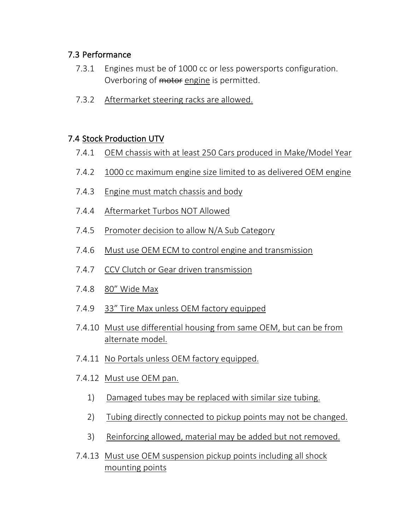### 7.3 Performance

- 7.3.1 Engines must be of 1000 cc or less powersports configuration. Overboring of motor engine is permitted.
- 7.3.2 Aftermarket steering racks are allowed.

### 7.4 Stock Production UTV

- 7.4.1 OEM chassis with at least 250 Cars produced in Make/Model Year
- 7.4.2 1000 cc maximum engine size limited to as delivered OEM engine
- 7.4.3 Engine must match chassis and body
- 7.4.4 Aftermarket Turbos NOT Allowed
- 7.4.5 Promoter decision to allow N/A Sub Category
- 7.4.6 Must use OEM ECM to control engine and transmission
- 7.4.7 CCV Clutch or Gear driven transmission
- 7.4.8 80" Wide Max
- 7.4.9 33" Tire Max unless OEM factory equipped
- 7.4.10 Must use differential housing from same OEM, but can be from alternate model.
- 7.4.11 No Portals unless OEM factory equipped.
- 7.4.12 Must use OEM pan.
	- 1) Damaged tubes may be replaced with similar size tubing.
	- 2) Tubing directly connected to pickup points may not be changed.
	- 3) Reinforcing allowed, material may be added but not removed.
- 7.4.13 Must use OEM suspension pickup points including all shock mounting points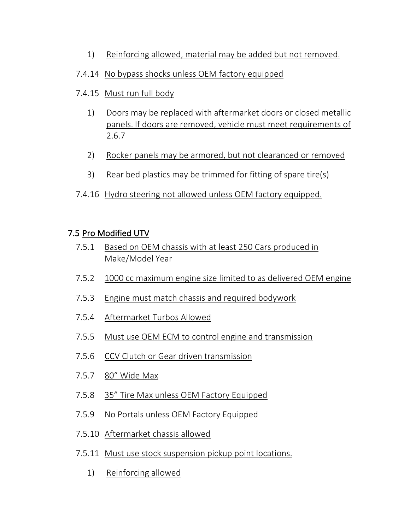- 1) Reinforcing allowed, material may be added but not removed.
- 7.4.14 No bypass shocks unless OEM factory equipped
- 7.4.15 Must run full body
	- 1) Doors may be replaced with aftermarket doors or closed metallic panels. If doors are removed, vehicle must meet requirements of 2.6.7
	- 2) Rocker panels may be armored, but not clearanced or removed
	- 3) Rear bed plastics may be trimmed for fitting of spare tire(s)
- 7.4.16 Hydro steering not allowed unless OEM factory equipped.

## 7.5 Pro Modified UTV

- 7.5.1 Based on OEM chassis with at least 250 Cars produced in Make/Model Year
- 7.5.2 1000 cc maximum engine size limited to as delivered OEM engine
- 7.5.3 Engine must match chassis and required bodywork
- 7.5.4 Aftermarket Turbos Allowed
- 7.5.5 Must use OEM ECM to control engine and transmission
- 7.5.6 CCV Clutch or Gear driven transmission
- 7.5.7 80" Wide Max
- 7.5.8 35" Tire Max unless OEM Factory Equipped
- 7.5.9 No Portals unless OEM Factory Equipped
- 7.5.10 Aftermarket chassis allowed
- 7.5.11 Must use stock suspension pickup point locations.
	- 1) Reinforcing allowed